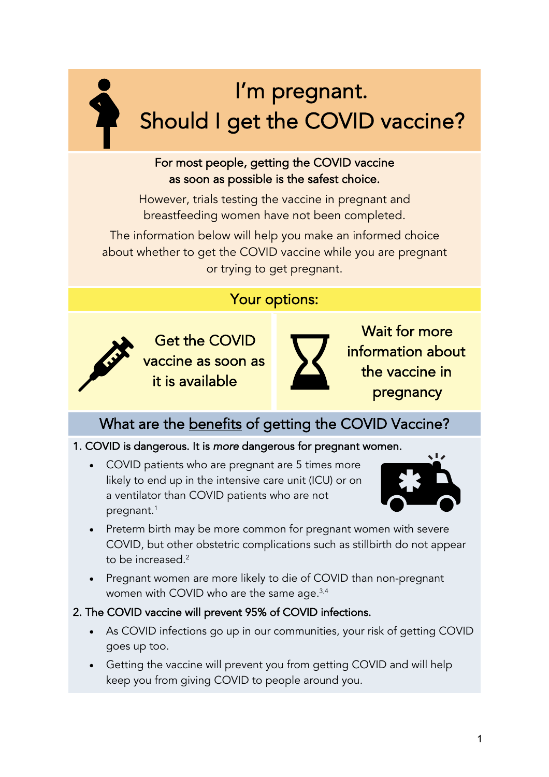# I'm pregnant. Should I get the COVID vaccine?

#### For most people, getting the COVID vaccine as soon as possible is the safest choice.

However, trials testing the vaccine in pregnant and breastfeeding women have not been completed.

The information below will help you make an informed choice about whether to get the COVID vaccine while you are pregnant or trying to get pregnant.

### Your options:



Get the COVID vaccine as soon as it is available



Wait for more information about the vaccine in pregnancy

### What are the **benefits** of getting the COVID Vaccine?

#### 1. COVID is dangerous. It is *more* dangerous for pregnant women.

• COVID patients who are pregnant are 5 times more likely to end up in the intensive care unit (ICU) or on a ventilator than COVID patients who are not pregnant. 1



- Preterm birth may be more common for pregnant women with severe COVID, but other obstetric complications such as stillbirth do not appear to be increased. $2$
- Pregnant women are more likely to die of COVID than non-pregnant women with COVID who are the same age.<sup>3,4</sup>

#### 2. The COVID vaccine will prevent 95% of COVID infections.

- As COVID infections go up in our communities, your risk of getting COVID goes up too.
- Getting the vaccine will prevent you from getting COVID and will help keep you from giving COVID to people around you.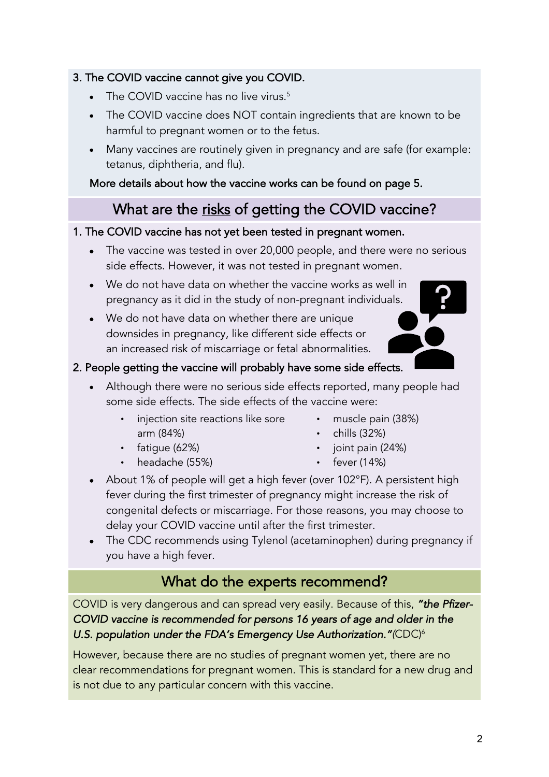#### 3. The COVID vaccine cannot give you COVID.

- The COVID vaccine has no live virus.<sup>5</sup>
- The COVID vaccine does NOT contain ingredients that are known to be harmful to pregnant women or to the fetus.
- Many vaccines are routinely given in pregnancy and are safe (for example: tetanus, diphtheria, and flu).

More details about how the vaccine works can be found on page 5.

### What are the risks of getting the COVID vaccine?

#### 1. The COVID vaccine has not yet been tested in pregnant women.

- The vaccine was tested in over 20,000 people, and there were no serious side effects. However, it was not tested in pregnant women.
- We do not have data on whether the vaccine works as well in pregnancy as it did in the study of non-pregnant individuals.
- We do not have data on whether there are unique downsides in pregnancy, like different side effects or an increased risk of miscarriage or fetal abnormalities.

#### 2. People getting the vaccine will probably have some side effects.

- Although there were no serious side effects reported, many people had some side effects. The side effects of the vaccine were:
	- injection site reactions like sore arm (84%)
	- fatigue (62%)
	- headache (55%)
- muscle pain (38%)
- $\cdot$  chills (32%)
- joint pain (24%)
- fever (14%)
- About 1% of people will get a high fever (over 102°F). A persistent high fever during the first trimester of pregnancy might increase the risk of congenital defects or miscarriage. For those reasons, you may choose to delay your COVID vaccine until after the first trimester.
- The CDC recommends using Tylenol (acetaminophen) during pregnancy if you have a high fever.

### What do the experts recommend?

COVID is very dangerous and can spread very easily. Because of this, *"the Pfizer-COVID vaccine is recommended for persons 16 years of age and older in the U.S. population under the FDA's Emergency Use Authorization."(*CDC)6

However, because there are no studies of pregnant women yet, there are no clear recommendations for pregnant women. This is standard for a new drug and is not due to any particular concern with this vaccine.

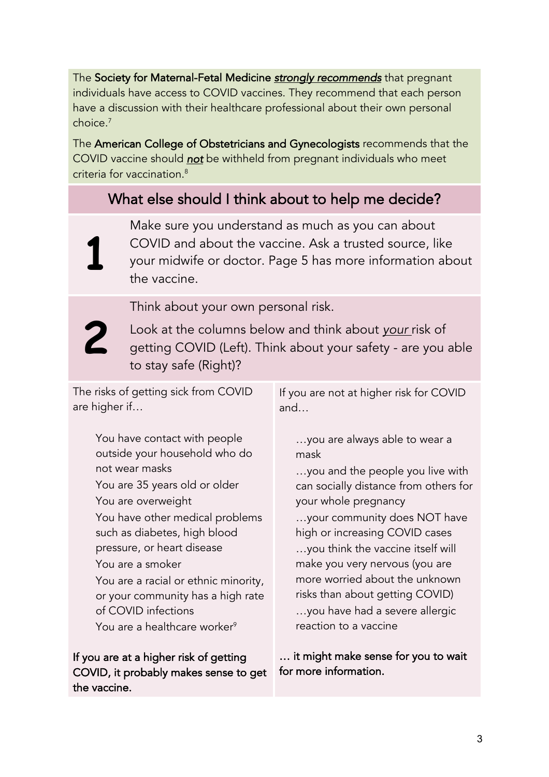The Society for Maternal-Fetal Medicine *strongly recommends* that pregnant individuals have access to COVID vaccines. They recommend that each person have a discussion with their healthcare professional about their own personal choice.7

The American College of Obstetricians and Gynecologists recommends that the COVID vaccine should *not* be withheld from pregnant individuals who meet criteria for vaccination.8

### What else should I think about to help me decide?

**1**

Make sure you understand as much as you can about COVID and about the vaccine. Ask a trusted source, like your midwife or doctor. Page 5 has more information about the vaccine.

Think about your own personal risk.

**2**

Look at the columns below and think about *your* risk of getting COVID (Left). Think about your safety - are you able to stay safe (Right)?

The risks of getting sick from COVID are higher if…

> You have contact with people outside your household who do not wear masks You are 35 years old or older You are overweight You have other medical problems such as diabetes, high blood pressure, or heart disease You are a smoker You are a racial or ethnic minority, or your community has a high rate of COVID infections You are a healthcare worker<sup>9</sup>

If you are at a higher risk of getting COVID, it probably makes sense to get the vaccine.

If you are not at higher risk for COVID and…

 …you are always able to wear a mask

 …you and the people you live with can socially distance from others for your whole pregnancy …your community does NOT have high or increasing COVID cases …you think the vaccine itself will make you very nervous (you are more worried about the unknown risks than about getting COVID) …you have had a severe allergic

reaction to a vaccine

… it might make sense for you to wait for more information.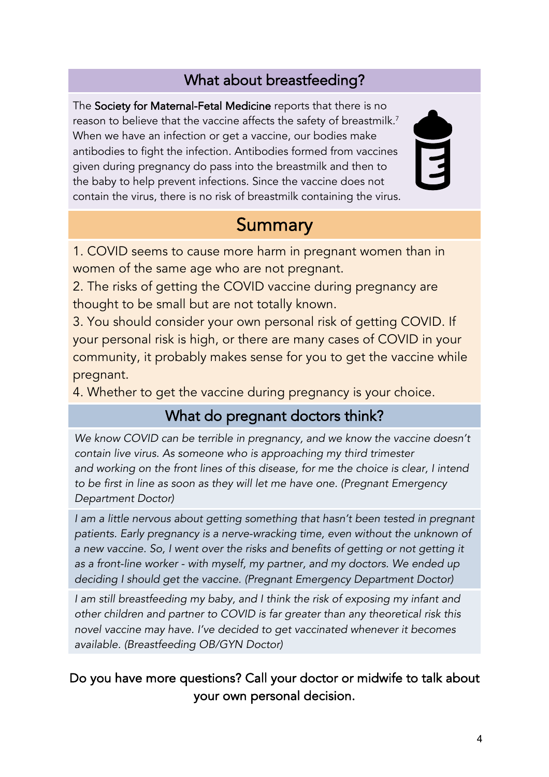### What about breastfeeding?

The Society for Maternal-Fetal Medicine reports that there is no reason to believe that the vaccine affects the safety of breastmilk.<sup>7</sup> When we have an infection or get a vaccine, our bodies make antibodies to fight the infection. Antibodies formed from vaccines given during pregnancy do pass into the breastmilk and then to the baby to help prevent infections. Since the vaccine does not contain the virus, there is no risk of breastmilk containing the virus.



## Summary

1. COVID seems to cause more harm in pregnant women than in women of the same age who are not pregnant.

2. The risks of getting the COVID vaccine during pregnancy are thought to be small but are not totally known.

3. You should consider your own personal risk of getting COVID. If your personal risk is high, or there are many cases of COVID in your community, it probably makes sense for you to get the vaccine while pregnant.

4. Whether to get the vaccine during pregnancy is your choice.

### What do pregnant doctors think?

*We know COVID can be terrible in pregnancy, and we know the vaccine doesn't contain live virus. As someone who is approaching my third trimester and working on the front lines of this disease, for me the choice is clear, I intend to be first in line as soon as they will let me have one. (Pregnant Emergency Department Doctor)*

*I am a little nervous about getting something that hasn't been tested in pregnant patients. Early pregnancy is a nerve-wracking time, even without the unknown of a new vaccine. So, I went over the risks and benefits of getting or not getting it as a front-line worker - with myself, my partner, and my doctors. We ended up deciding I should get the vaccine. (Pregnant Emergency Department Doctor)*

*I am still breastfeeding my baby, and I think the risk of exposing my infant and other children and partner to COVID is far greater than any theoretical risk this novel vaccine may have. I've decided to get vaccinated whenever it becomes available. (Breastfeeding OB/GYN Doctor)*

### Do you have more questions? Call your doctor or midwife to talk about your own personal decision.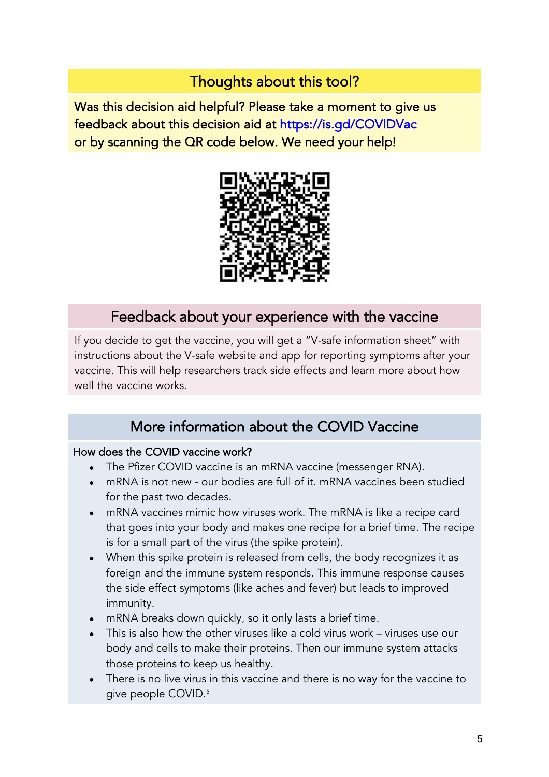### Thoughts about this tool?

Was this decision aid helpful? Please take a moment to give us feedback about this decision aid at https://is.gd/COVIDVac or by scanning the QR code below. We need your help!



### Feedback about your experience with the vaccine

If you decide to get the vaccine, you will get a "V-safe information sheet" with instructions about the V-safe website and app for reporting symptoms after your vaccine. This will help researchers track side effects and learn more about how well the vaccine works.

### More information about the COVID Vaccine

#### How does the COVID vaccine work?

- The Pfizer COVID vaccine is an mRNA vaccine (messenger RNA).
- mRNA is not new our bodies are full of it. mRNA vaccines been studied for the past two decades.
- mRNA vaccines mimic how viruses work. The mRNA is like a recipe card that goes into your body and makes one recipe for a brief time. The recipe is for a small part of the virus (the spike protein).
- When this spike protein is released from cells, the body recognizes it as foreign and the immune system responds. This immune response causes the side effect symptoms (like aches and fever) but leads to improved immunity.
- mRNA breaks down quickly, so it only lasts a brief time.
- This is also how the other viruses like a cold virus work viruses use our body and cells to make their proteins. Then our immune system attacks those proteins to keep us healthy.
- There is no live virus in this vaccine and there is no way for the vaccine to give people COVID.5